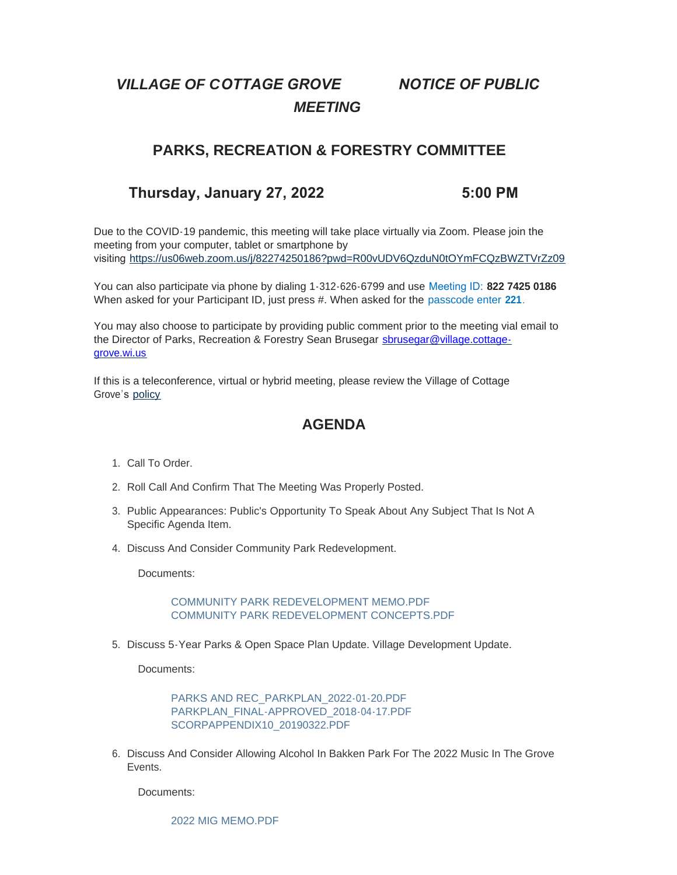# *VILLAGE OF COTTAGE GROVE NOTICE OF PUBLIC MEETING*

## **PARKS, RECREATION & FORESTRY COMMITTEE**

## **Thursday, January 27, 2022 5:00 PM**

Due to the COVID-19 pandemic, this meeting will take place virtually via Zoom. Please join the meeting from your computer, tablet or smartphone by visiting <https://us06web.zoom.us/j/82274250186?pwd=R00vUDV6QzduN0tOYmFCQzBWZTVrZz09>

You can also participate via phone by dialing 1-312-626-6799 and use Meeting ID: **822 7425 0186** When asked for your Participant ID, just press #. When asked for the passcode enter **221**.

You may also choose to participate by providing public comment prior to the meeting vial email to the Director of Parks, Recreation & Forestry Sean Brusegar sbrusegar@village.cottagegrove.wi.us

If this is a teleconference, virtual or hybrid meeting, please review the Village of Cottage Grove's [policy](https://www.vi.cottagegrove.wi.gov/DocumentCenter/View/1850/Virtual-Hybrid-Tele-meeting-Policy-Final)

# **AGENDA**

- 1. Call To Order.
- 2. Roll Call And Confirm That The Meeting Was Properly Posted.
- 3. Public Appearances: Public's Opportunity To Speak About Any Subject That Is Not A Specific Agenda Item.
- 4. Discuss And Consider Community Park Redevelopment.

Documents:

[COMMUNITY PARK REDEVELOPMENT MEMO.PDF](https://www.vi.cottagegrove.wi.gov/AgendaCenter/ViewFile/Item/9367?fileID=18448) [COMMUNITY PARK REDEVELOPMENT CONCEPTS.PDF](https://www.vi.cottagegrove.wi.gov/AgendaCenter/ViewFile/Item/9367?fileID=18449)

5. Discuss 5-Year Parks & Open Space Plan Update. Village Development Update.

Documents:

[PARKS AND REC\\_PARKPLAN\\_2022-01-20.PDF](https://www.vi.cottagegrove.wi.gov/AgendaCenter/ViewFile/Item/9365?fileID=18440) [PARKPLAN\\_FINAL-APPROVED\\_2018-04-17.PDF](https://www.vi.cottagegrove.wi.gov/AgendaCenter/ViewFile/Item/9365?fileID=18441) [SCORPAPPENDIX10\\_20190322.PDF](https://www.vi.cottagegrove.wi.gov/AgendaCenter/ViewFile/Item/9365?fileID=18442)

6. Discuss And Consider Allowing Alcohol In Bakken Park For The 2022 Music In The Grove Events.

Documents:

[2022 MIG MEMO.PDF](https://www.vi.cottagegrove.wi.gov/AgendaCenter/ViewFile/Item/9366?fileID=18443)